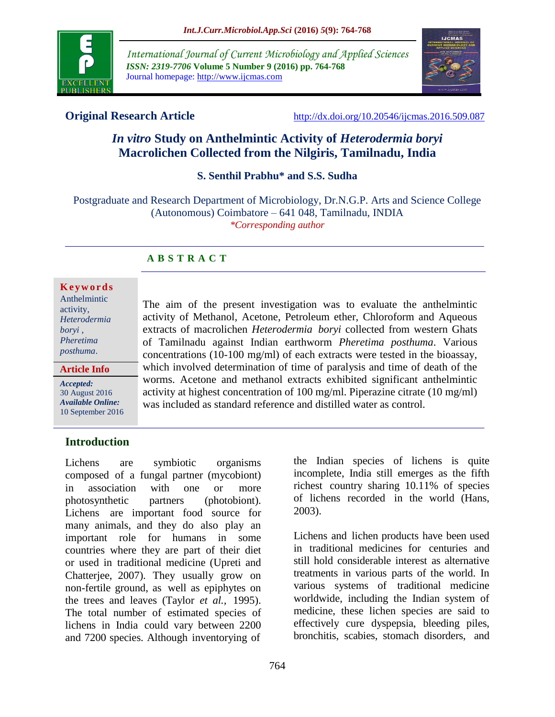

*International Journal of Current Microbiology and Applied Sciences ISSN: 2319-7706* **Volume 5 Number 9 (2016) pp. 764-768** Journal homepage: http://www.ijcmas.com



**Original Research Article** <http://dx.doi.org/10.20546/ijcmas.2016.509.087>

# *In vitro* **Study on Anthelmintic Activity of** *Heterodermia boryi*  **Macrolichen Collected from the Nilgiris, Tamilnadu, India**

**S. Senthil Prabhu\* and S.S. Sudha**

Postgraduate and Research Department of Microbiology, Dr.N.G.P. Arts and Science College (Autonomous) Coimbatore – 641 048, Tamilnadu, INDIA *\*Corresponding author*

# **A B S T R A C T**

#### **K e y w o r d s**

| Anthelmintic |
|--------------|
| activity,    |
| Heterodermia |
| boryi,       |
| Pheretima    |
| posthuma.    |
|              |

**Article Info**

*Accepted:*  30 August 2016 *Available Online:* 10 September 2016 The aim of the present investigation was to evaluate the anthelmintic activity of Methanol, Acetone, Petroleum ether, Chloroform and Aqueous extracts of macrolichen *Heterodermia boryi* collected from western Ghats of Tamilnadu against Indian earthworm *Pheretima posthuma*. Various concentrations (10-100 mg/ml) of each extracts were tested in the bioassay, which involved determination of time of paralysis and time of death of the worms. Acetone and methanol extracts exhibited significant anthelmintic activity at highest concentration of 100 mg/ml. Piperazine citrate (10 mg/ml) was included as standard reference and distilled water as control.

# **Introduction**

Lichens are symbiotic organisms composed of a fungal partner (mycobiont) in association with one or more photosynthetic partners (photobiont). Lichens are important food source for many animals, and they do also play an important role for humans in some countries where they are part of their diet or used in traditional medicine (Upreti and Chatterjee, 2007). They usually grow on non-fertile ground, as well as epiphytes on the trees and leaves (Taylor *et al.,* 1995). The total number of estimated species of lichens in India could vary between 2200 and 7200 species. Although inventorying of

the Indian species of lichens is quite incomplete, India still emerges as the fifth richest country sharing 10.11% of species of lichens recorded in the world (Hans, 2003).

Lichens and lichen products have been used in traditional medicines for centuries and still hold considerable interest as alternative treatments in various parts of the world. In various systems of traditional medicine worldwide, including the Indian system of medicine, these lichen species are said to effectively cure dyspepsia, bleeding piles, bronchitis, scabies, stomach disorders, and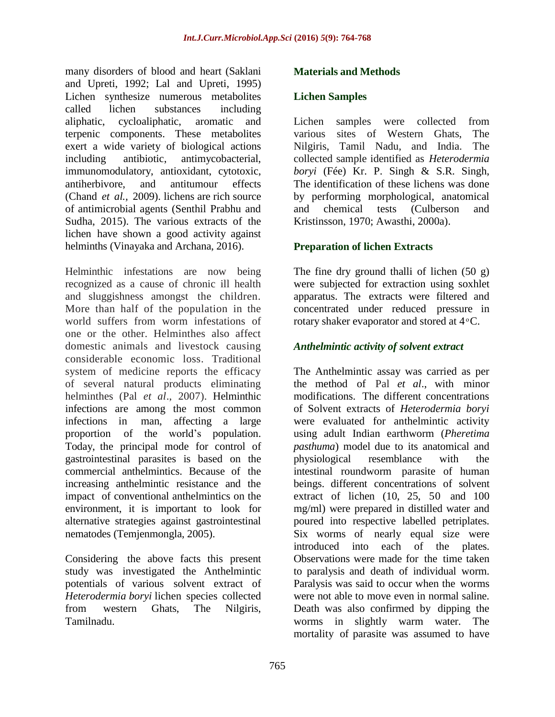many disorders of blood and heart (Saklani and Upreti, 1992; Lal and Upreti, 1995) Lichen synthesize numerous metabolites called lichen substances including aliphatic, cycloaliphatic, aromatic and terpenic components. These metabolites exert a wide variety of biological actions including antibiotic, antimycobacterial, immunomodulatory, antioxidant, cytotoxic, antiherbivore, and antitumour effects (Chand *et al.,* 2009). lichens are rich source of antimicrobial agents (Senthil Prabhu and Sudha, 2015). The various extracts of the lichen have shown a good activity against helminths (Vinayaka and Archana, 2016).

Helminthic infestations are now being recognized as a cause of chronic ill health and sluggishness amongst the children. More than half of the population in the world suffers from worm infestations of one or the other. Helminthes also affect domestic animals and livestock causing considerable economic loss. Traditional system of medicine reports the efficacy of several natural products eliminating helminthes (Pal *et al*., 2007). Helminthic infections are among the most common infections in man, affecting a large proportion of the world's population. Today, the principal mode for control of gastrointestinal parasites is based on the commercial anthelmintics. Because of the increasing anthelmintic resistance and the impact of conventional anthelmintics on the environment, it is important to look for alternative strategies against gastrointestinal nematodes (Temjenmongla, 2005).

Considering the above facts this present study was investigated the Anthelmintic potentials of various solvent extract of *Heterodermia boryi* lichen species collected from western Ghats, The Nilgiris, Tamilnadu.

## **Materials and Methods**

## **Lichen Samples**

Lichen samples were collected from various sites of Western Ghats, The Nilgiris, Tamil Nadu, and India. The collected sample identified as *Heterodermia boryi* (Fée) Kr. P. Singh & S.R. Singh, The identification of these lichens was done by performing morphological, anatomical and chemical tests (Culberson and Kristinsson, 1970; Awasthi, 2000a).

## **Preparation of lichen Extracts**

The fine dry ground thalli of lichen (50 g) were subjected for extraction using soxhlet apparatus. The extracts were filtered and concentrated under reduced pressure in rotary shaker evaporator and stored at  $4^{\circ}$ C.

#### *Anthelmintic activity of solvent extract*

The Anthelmintic assay was carried as per the method of Pal *et al*., with minor modifications. The different concentrations of Solvent extracts of *Heterodermia boryi* were evaluated for anthelmintic activity using adult Indian earthworm (*Pheretima pasthuma*) model due to its anatomical and physiological resemblance with the intestinal roundworm parasite of human beings. different concentrations of solvent extract of lichen (10, 25, 50 and 100 mg/ml) were prepared in distilled water and poured into respective labelled petriplates. Six worms of nearly equal size were introduced into each of the plates. Observations were made for the time taken to paralysis and death of individual worm. Paralysis was said to occur when the worms were not able to move even in normal saline. Death was also confirmed by dipping the worms in slightly warm water. The mortality of parasite was assumed to have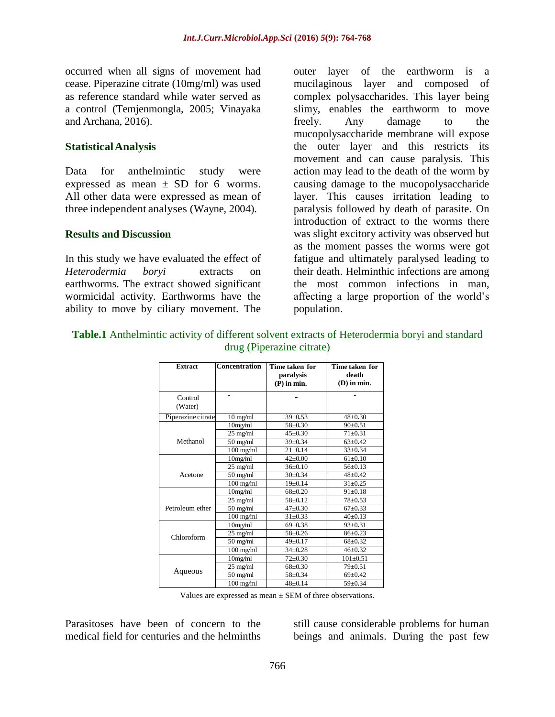occurred when all signs of movement had cease. Piperazine citrate (10mg/ml) was used as reference standard while water served as a control (Temjenmongla, 2005; Vinayaka and Archana, 2016).

#### **StatisticalAnalysis**

Data for anthelmintic study were expressed as mean  $\pm$  SD for 6 worms. All other data were expressed as mean of three independent analyses (Wayne, 2004).

#### **Results and Discussion**

In this study we have evaluated the effect of *Heterodermia boryi* extracts on earthworms. The extract showed significant wormicidal activity. Earthworms have the ability to move by ciliary movement. The

outer layer of the earthworm is a mucilaginous layer and composed of complex polysaccharides. This layer being slimy, enables the earthworm to move freely. Any damage to the mucopolysaccharide membrane will expose the outer layer and this restricts its movement and can cause paralysis. This action may lead to the death of the worm by causing damage to the mucopolysaccharide layer. This causes irritation leading to paralysis followed by death of parasite. On introduction of extract to the worms there was slight excitory activity was observed but as the moment passes the worms were got fatigue and ultimately paralysed leading to their death. Helminthic infections are among the most common infections in man, affecting a large proportion of the world's population.

**Table.1** Anthelmintic activity of different solvent extracts of Heterodermia boryi and standard drug (Piperazine citrate)

| <b>Extract</b>     | <b>Concentration</b> | Time taken for<br>paralysis<br>$(P)$ in min. | Time taken for<br>death<br>$(D)$ in min. |
|--------------------|----------------------|----------------------------------------------|------------------------------------------|
| Control<br>(Water) |                      |                                              |                                          |
| Piperazine citrate | $10$ mg/ml           | $39 \pm 0.53$                                | $48 + 0.30$                              |
|                    | 10mg/ml              | $58 \pm 0.30$                                | $90 \pm 0.51$                            |
| Methanol           | 25 mg/ml             | $45 \pm 0.30$                                | $71 \pm 0.31$                            |
|                    | $50$ mg/ml           | $39 \pm 0.34$                                | $63+0.42$                                |
|                    | $100$ mg/ml          | $21 \pm 0.14$                                | $33 + 0.34$                              |
|                    | 10mg/ml              | $42 \pm 0.00$                                | $61 \pm 0.10$                            |
|                    | 25 mg/ml             | $36 \pm 0.10$                                | $56 \pm 0.13$                            |
| Acetone            | $50$ mg/ml           | $30 \pm 0.34$                                | $48 + 0.42$                              |
|                    | $100$ mg/ml          | $19 \pm 0.14$                                | $31 \pm 0.25$                            |
|                    | 10mg/ml              | $68 + 0.20$                                  | $91 \pm 0.18$                            |
|                    | $25$ mg/ml           | $58 \pm 0.12$                                | $78 + 0.53$                              |
| Petroleum ether    | $50$ mg/ml           | $47 + 0.30$                                  | $67+0.33$                                |
|                    | $100$ mg/ml          | $31 \pm 0.33$                                | $40 \pm 0.13$                            |
| Chloroform         | 10mg/ml              | $69 \pm 0.38$                                | $93 \pm 0.31$                            |
|                    | 25 mg/ml             | $58 + 0.26$                                  | $86 \pm 0.23$                            |
|                    | $50$ mg/ml           | $49 + 0.17$                                  | $68 \pm 0.32$                            |
|                    | $100$ mg/ml          | $34 \pm 0.28$                                | $46 + 0.32$                              |
| Aqueous            | 10mg/ml              | $72 \pm 0.30$                                | $101 \pm 0.51$                           |
|                    | 25 mg/ml             | $68 \pm 0.30$                                | $79 + 0.51$                              |
|                    | $50$ mg/ml           | $58 \pm 0.34$                                | $69 \pm 0.42$                            |
|                    | $100$ mg/ml          | $48 + 0.14$                                  | $59 \pm 0.34$                            |

Values are expressed as mean ± SEM of three observations.

Parasitoses have been of concern to the medical field for centuries and the helminths

still cause considerable problems for human beings and animals. During the past few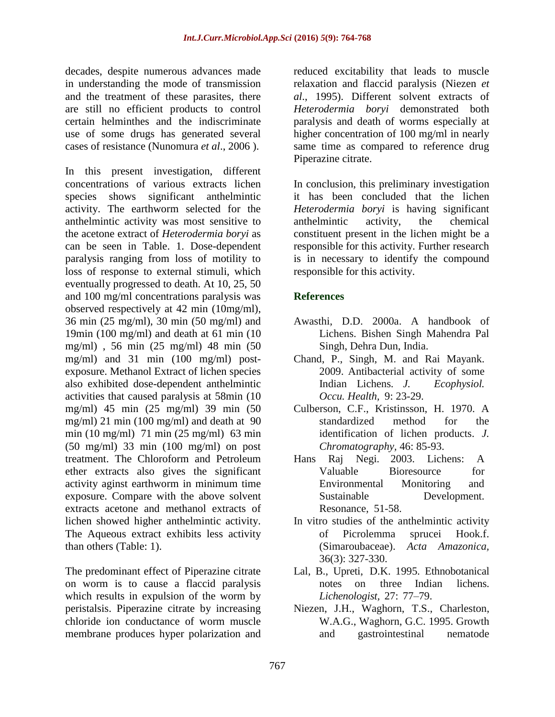decades, despite numerous advances made in understanding the mode of transmission and the treatment of these parasites, there are still no efficient products to control certain helminthes and the indiscriminate use of some drugs has generated several cases of resistance (Nunomura *et al*., 2006 ).

In this present investigation, different concentrations of various extracts lichen species shows significant anthelmintic activity. The earthworm selected for the anthelmintic activity was most sensitive to the acetone extract of *Heterodermia boryi* as can be seen in Table. 1. Dose-dependent paralysis ranging from loss of motility to loss of response to external stimuli, which eventually progressed to death. At 10, 25, 50 and 100 mg/ml concentrations paralysis was observed respectively at 42 min (10mg/ml), 36 min (25 mg/ml), 30 min (50 mg/ml) and 19min (100 mg/ml) and death at 61 min (10 mg/ml) , 56 min (25 mg/ml) 48 min (50 mg/ml) and 31 min (100 mg/ml) postexposure. Methanol Extract of lichen species also exhibited dose-dependent anthelmintic activities that caused paralysis at 58min (10 mg/ml) 45 min (25 mg/ml) 39 min (50 mg/ml) 21 min (100 mg/ml) and death at 90 min (10 mg/ml) 71 min (25 mg/ml) 63 min (50 mg/ml) 33 min (100 mg/ml) on post treatment. The Chloroform and Petroleum ether extracts also gives the significant activity aginst earthworm in minimum time exposure. Compare with the above solvent extracts acetone and methanol extracts of lichen showed higher anthelmintic activity. The Aqueous extract exhibits less activity than others (Table: 1).

The predominant effect of Piperazine citrate on worm is to cause a flaccid paralysis which results in expulsion of the worm by peristalsis. Piperazine citrate by increasing chloride ion conductance of worm muscle membrane produces hyper polarization and

reduced excitability that leads to muscle relaxation and flaccid paralysis (Niezen *et al*., 1995). Different solvent extracts of *Heterodermia boryi* demonstrated both paralysis and death of worms especially at higher concentration of 100 mg/ml in nearly same time as compared to reference drug Piperazine citrate.

In conclusion, this preliminary investigation it has been concluded that the lichen *Heterodermia boryi* is having significant anthelmintic activity, the chemical constituent present in the lichen might be a responsible for this activity. Further research is in necessary to identify the compound responsible for this activity.

# **References**

- Awasthi, D.D. 2000a. A handbook of Lichens. Bishen Singh Mahendra Pal Singh, Dehra Dun, India.
- Chand, P., Singh, M. and Rai Mayank. 2009. Antibacterial activity of some Indian Lichens. *J. Ecophysiol. Occu. Health,* 9: 23-29.
- Culberson, C.F., Kristinsson, H. 1970. A standardized method for the identification of lichen products. *J. Chromatography,* 46: 85-93.
- Hans Raj Negi. 2003. Lichens: A Valuable Bioresource for Environmental Monitoring and Sustainable Development. Resonance, 51-58.
- In vitro studies of the anthelmintic activity of Picrolemma sprucei Hook.f. (Simaroubaceae). *Acta Amazonica,* 36(3): 327-330.
- Lal, B., Upreti, D.K. 1995. Ethnobotanical notes on three Indian lichens. *Lichenologist,* 27: 77–79.
- Niezen, J.H., Waghorn, T.S., Charleston, W.A.G., Waghorn, G.C. 1995. Growth and gastrointestinal nematode